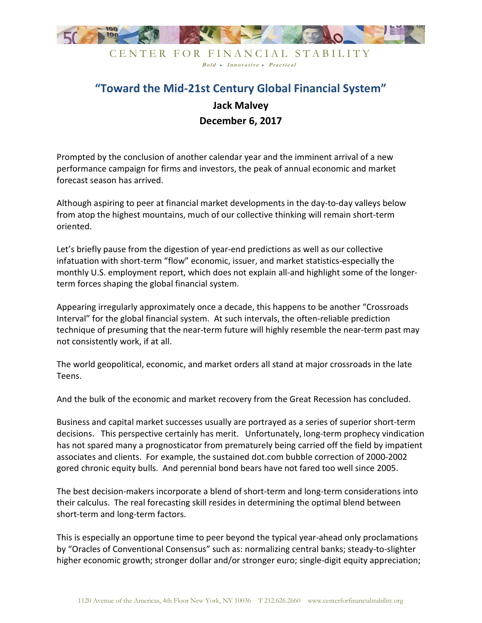

CENTER FOR FINANCIAL STABILITY Bold • Innovative • Practical

## "Toward the Mid-21st Century Global Financial System" Jack Malvey December 6, 2017

Prompted by the conclusion of another calendar year and the imminent arrival of a new performance campaign for firms and investors, the peak of annual economic and market forecast season has arrived.

Although aspiring to peer at financial market developments in the day-to-day valleys below from atop the highest mountains, much of our collective thinking will remain short-term oriented.

Let's briefly pause from the digestion of year-end predictions as well as our collective infatuation with short-term "flow" economic, issuer, and market statistics-especially the monthly U.S. employment report, which does not explain all-and highlight some of the longerterm forces shaping the global financial system.

Appearing irregularly approximately once a decade, this happens to be another "Crossroads Interval" for the global financial system. At such intervals, the often-reliable prediction technique of presuming that the near-term future will highly resemble the near-term past may not consistently work, if at all.

The world geopolitical, economic, and market orders all stand at major crossroads in the late Teens.

And the bulk of the economic and market recovery from the Great Recession has concluded.

Business and capital market successes usually are portrayed as a series of superior short-term decisions. This perspective certainly has merit. Unfortunately, long-term prophecy vindication has not spared many a prognosticator from prematurely being carried off the field by impatient associates and clients. For example, the sustained dot.com bubble correction of 2000-2002 gored chronic equity bulls. And perennial bond bears have not fared too well since 2005.

The best decision-makers incorporate a blend of short-term and long-term considerations into their calculus. The real forecasting skill resides in determining the optimal blend between short-term and long-term factors.

This is especially an opportune time to peer beyond the typical year-ahead only proclamations by "Oracles of Conventional Consensus" such as: normalizing central banks; steady-to-slighter higher economic growth; stronger dollar and/or stronger euro; single-digit equity appreciation;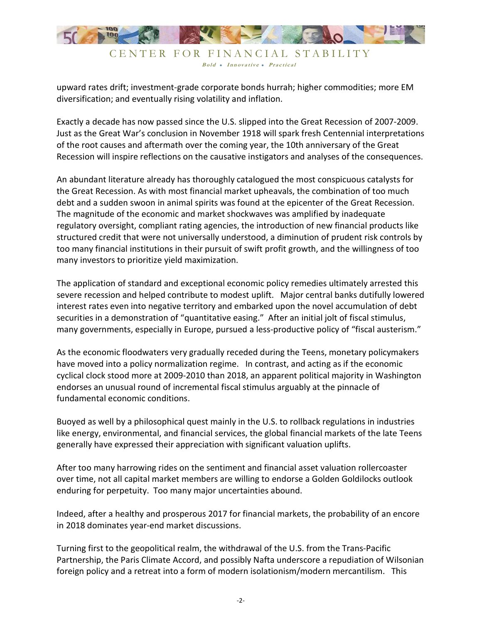

Bold • Innovative • Practical

upward rates drift; investment-grade corporate bonds hurrah; higher commodities; more EM diversification; and eventually rising volatility and inflation.

Exactly a decade has now passed since the U.S. slipped into the Great Recession of 2007-2009. Just as the Great War's conclusion in November 1918 will spark fresh Centennial interpretations of the root causes and aftermath over the coming year, the 10th anniversary of the Great Recession will inspire reflections on the causative instigators and analyses of the consequences.

An abundant literature already has thoroughly catalogued the most conspicuous catalysts for the Great Recession. As with most financial market upheavals, the combination of too much debt and a sudden swoon in animal spirits was found at the epicenter of the Great Recession. The magnitude of the economic and market shockwaves was amplified by inadequate regulatory oversight, compliant rating agencies, the introduction of new financial products like structured credit that were not universally understood, a diminution of prudent risk controls by too many financial institutions in their pursuit of swift profit growth, and the willingness of too many investors to prioritize yield maximization.

The application of standard and exceptional economic policy remedies ultimately arrested this severe recession and helped contribute to modest uplift. Major central banks dutifully lowered interest rates even into negative territory and embarked upon the novel accumulation of debt securities in a demonstration of "quantitative easing." After an initial jolt of fiscal stimulus, many governments, especially in Europe, pursued a less-productive policy of "fiscal austerism."

As the economic floodwaters very gradually receded during the Teens, monetary policymakers have moved into a policy normalization regime. In contrast, and acting as if the economic cyclical clock stood more at 2009-2010 than 2018, an apparent political majority in Washington endorses an unusual round of incremental fiscal stimulus arguably at the pinnacle of fundamental economic conditions.

Buoyed as well by a philosophical quest mainly in the U.S. to rollback regulations in industries like energy, environmental, and financial services, the global financial markets of the late Teens generally have expressed their appreciation with significant valuation uplifts.

After too many harrowing rides on the sentiment and financial asset valuation rollercoaster over time, not all capital market members are willing to endorse a Golden Goldilocks outlook enduring for perpetuity. Too many major uncertainties abound.

Indeed, after a healthy and prosperous 2017 for financial markets, the probability of an encore in 2018 dominates year-end market discussions.

Turning first to the geopolitical realm, the withdrawal of the U.S. from the Trans-Pacific Partnership, the Paris Climate Accord, and possibly Nafta underscore a repudiation of Wilsonian foreign policy and a retreat into a form of modern isolationism/modern mercantilism. This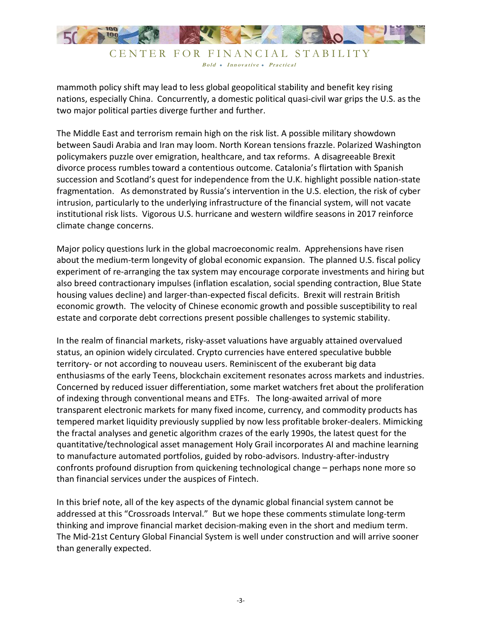

Bold • Innovative • Practical

mammoth policy shift may lead to less global geopolitical stability and benefit key rising nations, especially China. Concurrently, a domestic political quasi-civil war grips the U.S. as the two major political parties diverge further and further.

The Middle East and terrorism remain high on the risk list. A possible military showdown between Saudi Arabia and Iran may loom. North Korean tensions frazzle. Polarized Washington policymakers puzzle over emigration, healthcare, and tax reforms. A disagreeable Brexit divorce process rumbles toward a contentious outcome. Catalonia's flirtation with Spanish succession and Scotland's quest for independence from the U.K. highlight possible nation-state fragmentation. As demonstrated by Russia's intervention in the U.S. election, the risk of cyber intrusion, particularly to the underlying infrastructure of the financial system, will not vacate institutional risk lists. Vigorous U.S. hurricane and western wildfire seasons in 2017 reinforce climate change concerns.

Major policy questions lurk in the global macroeconomic realm. Apprehensions have risen about the medium-term longevity of global economic expansion. The planned U.S. fiscal policy experiment of re-arranging the tax system may encourage corporate investments and hiring but also breed contractionary impulses (inflation escalation, social spending contraction, Blue State housing values decline) and larger-than-expected fiscal deficits. Brexit will restrain British economic growth. The velocity of Chinese economic growth and possible susceptibility to real estate and corporate debt corrections present possible challenges to systemic stability.

In the realm of financial markets, risky-asset valuations have arguably attained overvalued status, an opinion widely circulated. Crypto currencies have entered speculative bubble territory- or not according to nouveau users. Reminiscent of the exuberant big data enthusiasms of the early Teens, blockchain excitement resonates across markets and industries. Concerned by reduced issuer differentiation, some market watchers fret about the proliferation of indexing through conventional means and ETFs. The long-awaited arrival of more transparent electronic markets for many fixed income, currency, and commodity products has tempered market liquidity previously supplied by now less profitable broker-dealers. Mimicking the fractal analyses and genetic algorithm crazes of the early 1990s, the latest quest for the quantitative/technological asset management Holy Grail incorporates AI and machine learning to manufacture automated portfolios, guided by robo-advisors. Industry-after-industry confronts profound disruption from quickening technological change – perhaps none more so than financial services under the auspices of Fintech.

In this brief note, all of the key aspects of the dynamic global financial system cannot be addressed at this "Crossroads Interval." But we hope these comments stimulate long-term thinking and improve financial market decision-making even in the short and medium term. The Mid-21st Century Global Financial System is well under construction and will arrive sooner than generally expected.